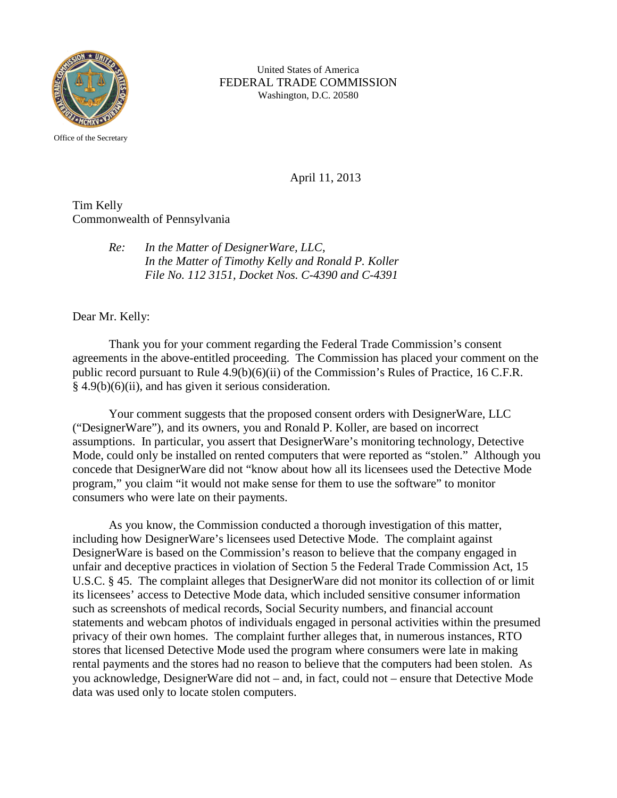

United States of America FEDERAL TRADE COMMISSION Washington, D.C. 20580

April 11, 2013

Tim Kelly Commonwealth of Pennsylvania

> *Re: In the Matter of DesignerWare, LLC, In the Matter of Timothy Kelly and Ronald P. Koller File No. 112 3151, Docket Nos. C-4390 and C-4391*

Dear Mr. Kelly:

Thank you for your comment regarding the Federal Trade Commission's consent agreements in the above-entitled proceeding. The Commission has placed your comment on the public record pursuant to Rule 4.9(b)(6)(ii) of the Commission's Rules of Practice, 16 C.F.R. § 4.9(b)(6)(ii), and has given it serious consideration.

Your comment suggests that the proposed consent orders with DesignerWare, LLC ("DesignerWare"), and its owners, you and Ronald P. Koller, are based on incorrect assumptions. In particular, you assert that DesignerWare's monitoring technology, Detective Mode, could only be installed on rented computers that were reported as "stolen." Although you concede that DesignerWare did not "know about how all its licensees used the Detective Mode program," you claim "it would not make sense for them to use the software" to monitor consumers who were late on their payments.

As you know, the Commission conducted a thorough investigation of this matter, including how DesignerWare's licensees used Detective Mode. The complaint against DesignerWare is based on the Commission's reason to believe that the company engaged in unfair and deceptive practices in violation of Section 5 the Federal Trade Commission Act, 15 U.S.C. § 45. The complaint alleges that DesignerWare did not monitor its collection of or limit its licensees' access to Detective Mode data, which included sensitive consumer information such as screenshots of medical records, Social Security numbers, and financial account statements and webcam photos of individuals engaged in personal activities within the presumed privacy of their own homes. The complaint further alleges that, in numerous instances, RTO stores that licensed Detective Mode used the program where consumers were late in making rental payments and the stores had no reason to believe that the computers had been stolen. As you acknowledge, DesignerWare did not – and, in fact, could not – ensure that Detective Mode data was used only to locate stolen computers.